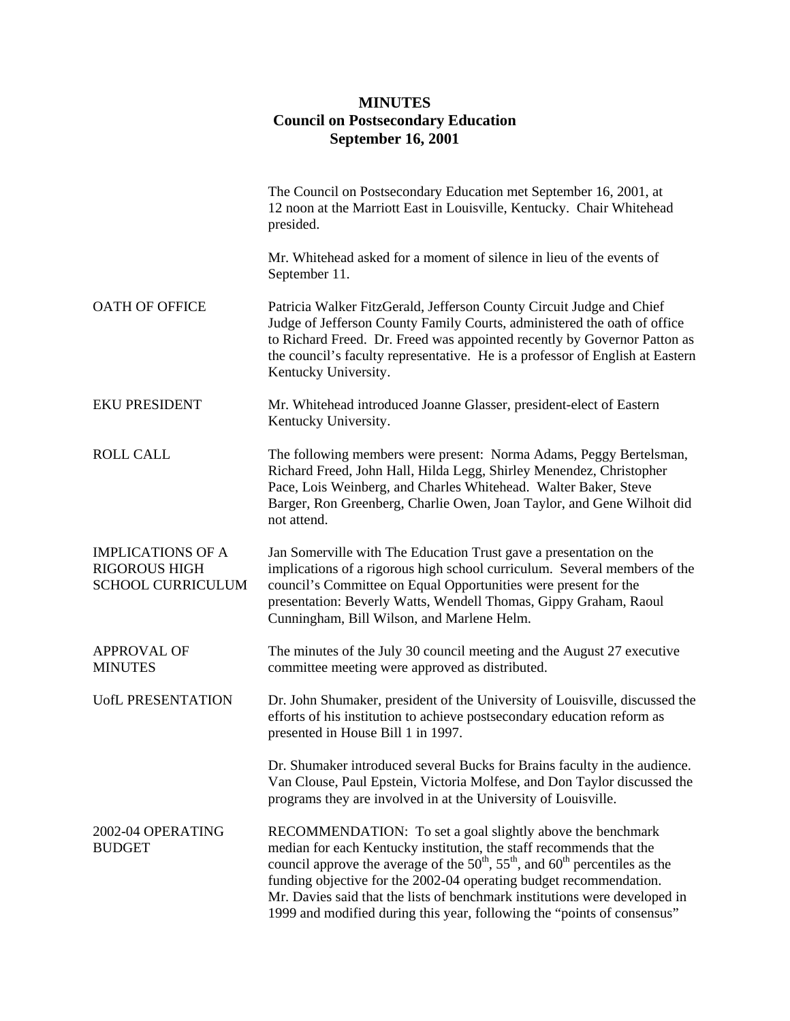## **MINUTES Council on Postsecondary Education September 16, 2001**

|                                                                              | The Council on Postsecondary Education met September 16, 2001, at<br>12 noon at the Marriott East in Louisville, Kentucky. Chair Whitehead<br>presided.                                                                                                                                                                                                                                                                                                |
|------------------------------------------------------------------------------|--------------------------------------------------------------------------------------------------------------------------------------------------------------------------------------------------------------------------------------------------------------------------------------------------------------------------------------------------------------------------------------------------------------------------------------------------------|
|                                                                              | Mr. Whitehead asked for a moment of silence in lieu of the events of<br>September 11.                                                                                                                                                                                                                                                                                                                                                                  |
| <b>OATH OF OFFICE</b>                                                        | Patricia Walker FitzGerald, Jefferson County Circuit Judge and Chief<br>Judge of Jefferson County Family Courts, administered the oath of office<br>to Richard Freed. Dr. Freed was appointed recently by Governor Patton as<br>the council's faculty representative. He is a professor of English at Eastern<br>Kentucky University.                                                                                                                  |
| <b>EKU PRESIDENT</b>                                                         | Mr. Whitehead introduced Joanne Glasser, president-elect of Eastern<br>Kentucky University.                                                                                                                                                                                                                                                                                                                                                            |
| <b>ROLL CALL</b>                                                             | The following members were present: Norma Adams, Peggy Bertelsman,<br>Richard Freed, John Hall, Hilda Legg, Shirley Menendez, Christopher<br>Pace, Lois Weinberg, and Charles Whitehead. Walter Baker, Steve<br>Barger, Ron Greenberg, Charlie Owen, Joan Taylor, and Gene Wilhoit did<br>not attend.                                                                                                                                                  |
| <b>IMPLICATIONS OF A</b><br><b>RIGOROUS HIGH</b><br><b>SCHOOL CURRICULUM</b> | Jan Somerville with The Education Trust gave a presentation on the<br>implications of a rigorous high school curriculum. Several members of the<br>council's Committee on Equal Opportunities were present for the<br>presentation: Beverly Watts, Wendell Thomas, Gippy Graham, Raoul<br>Cunningham, Bill Wilson, and Marlene Helm.                                                                                                                   |
| <b>APPROVAL OF</b><br><b>MINUTES</b>                                         | The minutes of the July 30 council meeting and the August 27 executive<br>committee meeting were approved as distributed.                                                                                                                                                                                                                                                                                                                              |
| <b>UofL PRESENTATION</b>                                                     | Dr. John Shumaker, president of the University of Louisville, discussed the<br>efforts of his institution to achieve postsecondary education reform as<br>presented in House Bill 1 in 1997.                                                                                                                                                                                                                                                           |
|                                                                              | Dr. Shumaker introduced several Bucks for Brains faculty in the audience.<br>Van Clouse, Paul Epstein, Victoria Molfese, and Don Taylor discussed the<br>programs they are involved in at the University of Louisville.                                                                                                                                                                                                                                |
| 2002-04 OPERATING<br><b>BUDGET</b>                                           | RECOMMENDATION: To set a goal slightly above the benchmark<br>median for each Kentucky institution, the staff recommends that the<br>council approve the average of the $50th$ , $55th$ , and $60th$ percentiles as the<br>funding objective for the 2002-04 operating budget recommendation.<br>Mr. Davies said that the lists of benchmark institutions were developed in<br>1999 and modified during this year, following the "points of consensus" |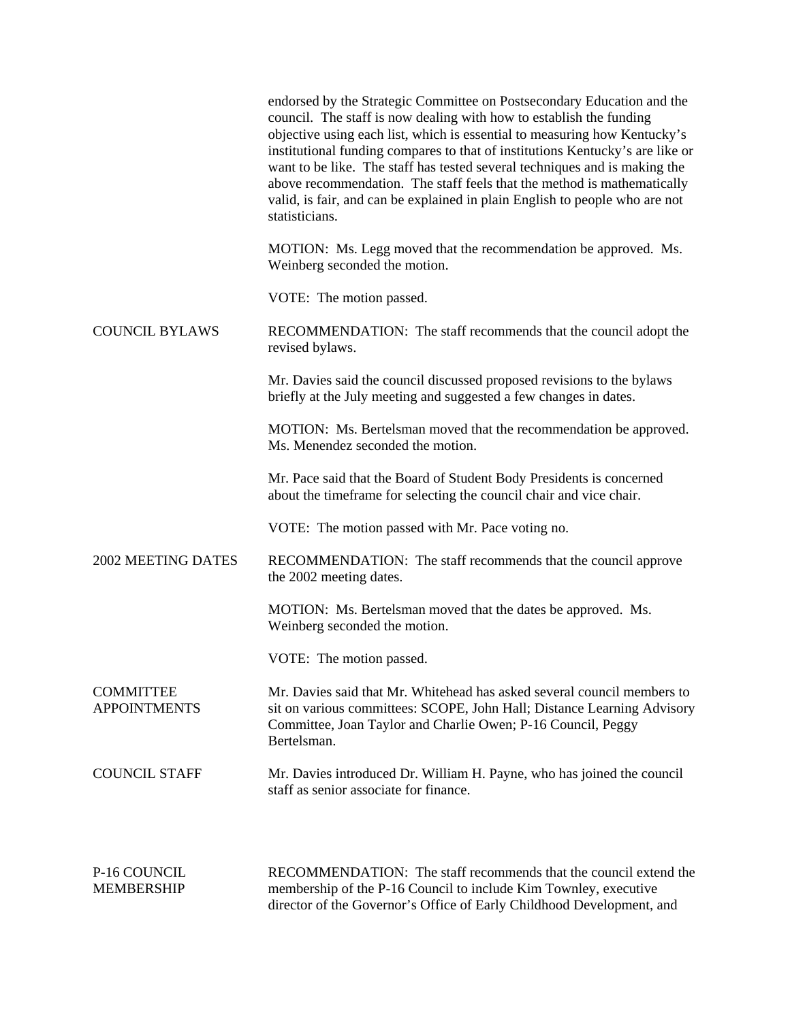|                                         | endorsed by the Strategic Committee on Postsecondary Education and the<br>council. The staff is now dealing with how to establish the funding<br>objective using each list, which is essential to measuring how Kentucky's<br>institutional funding compares to that of institutions Kentucky's are like or<br>want to be like. The staff has tested several techniques and is making the<br>above recommendation. The staff feels that the method is mathematically<br>valid, is fair, and can be explained in plain English to people who are not<br>statisticians. |
|-----------------------------------------|-----------------------------------------------------------------------------------------------------------------------------------------------------------------------------------------------------------------------------------------------------------------------------------------------------------------------------------------------------------------------------------------------------------------------------------------------------------------------------------------------------------------------------------------------------------------------|
|                                         | MOTION: Ms. Legg moved that the recommendation be approved. Ms.<br>Weinberg seconded the motion.                                                                                                                                                                                                                                                                                                                                                                                                                                                                      |
|                                         | VOTE: The motion passed.                                                                                                                                                                                                                                                                                                                                                                                                                                                                                                                                              |
| <b>COUNCIL BYLAWS</b>                   | RECOMMENDATION: The staff recommends that the council adopt the<br>revised bylaws.                                                                                                                                                                                                                                                                                                                                                                                                                                                                                    |
|                                         | Mr. Davies said the council discussed proposed revisions to the bylaws<br>briefly at the July meeting and suggested a few changes in dates.                                                                                                                                                                                                                                                                                                                                                                                                                           |
|                                         | MOTION: Ms. Bertelsman moved that the recommendation be approved.<br>Ms. Menendez seconded the motion.                                                                                                                                                                                                                                                                                                                                                                                                                                                                |
|                                         | Mr. Pace said that the Board of Student Body Presidents is concerned<br>about the timeframe for selecting the council chair and vice chair.                                                                                                                                                                                                                                                                                                                                                                                                                           |
|                                         | VOTE: The motion passed with Mr. Pace voting no.                                                                                                                                                                                                                                                                                                                                                                                                                                                                                                                      |
| 2002 MEETING DATES                      | RECOMMENDATION: The staff recommends that the council approve<br>the 2002 meeting dates.                                                                                                                                                                                                                                                                                                                                                                                                                                                                              |
|                                         | MOTION: Ms. Bertelsman moved that the dates be approved. Ms.<br>Weinberg seconded the motion.                                                                                                                                                                                                                                                                                                                                                                                                                                                                         |
|                                         | VOTE: The motion passed.                                                                                                                                                                                                                                                                                                                                                                                                                                                                                                                                              |
| <b>COMMITTEE</b><br><b>APPOINTMENTS</b> | Mr. Davies said that Mr. Whitehead has asked several council members to<br>sit on various committees: SCOPE, John Hall; Distance Learning Advisory<br>Committee, Joan Taylor and Charlie Owen; P-16 Council, Peggy<br>Bertelsman.                                                                                                                                                                                                                                                                                                                                     |
| <b>COUNCIL STAFF</b>                    | Mr. Davies introduced Dr. William H. Payne, who has joined the council<br>staff as senior associate for finance.                                                                                                                                                                                                                                                                                                                                                                                                                                                      |
| P-16 COUNCIL<br><b>MEMBERSHIP</b>       | RECOMMENDATION: The staff recommends that the council extend the<br>membership of the P-16 Council to include Kim Townley, executive<br>director of the Governor's Office of Early Childhood Development, and                                                                                                                                                                                                                                                                                                                                                         |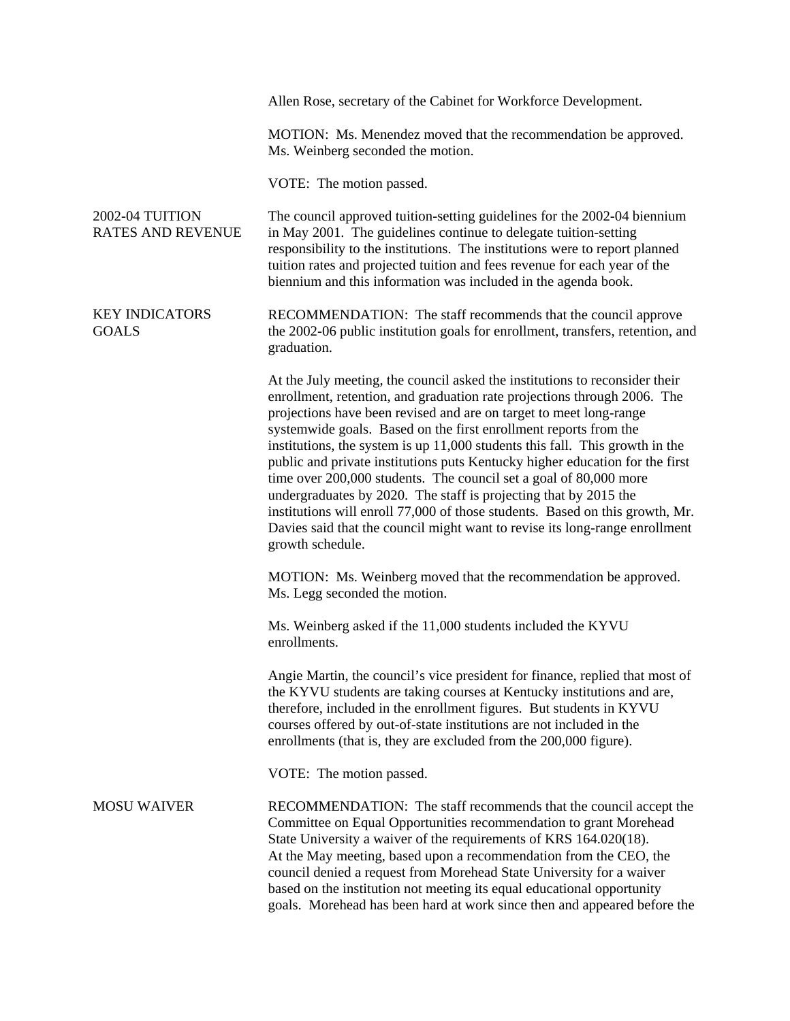|                                                    | Allen Rose, secretary of the Cabinet for Workforce Development.                                                                                                                                                                                                                                                                                                                                                                                                                                                                                                                                                                                                                                                                                                                               |
|----------------------------------------------------|-----------------------------------------------------------------------------------------------------------------------------------------------------------------------------------------------------------------------------------------------------------------------------------------------------------------------------------------------------------------------------------------------------------------------------------------------------------------------------------------------------------------------------------------------------------------------------------------------------------------------------------------------------------------------------------------------------------------------------------------------------------------------------------------------|
|                                                    | MOTION: Ms. Menendez moved that the recommendation be approved.<br>Ms. Weinberg seconded the motion.                                                                                                                                                                                                                                                                                                                                                                                                                                                                                                                                                                                                                                                                                          |
|                                                    | VOTE: The motion passed.                                                                                                                                                                                                                                                                                                                                                                                                                                                                                                                                                                                                                                                                                                                                                                      |
| <b>2002-04 TUITION</b><br><b>RATES AND REVENUE</b> | The council approved tuition-setting guidelines for the 2002-04 biennium<br>in May 2001. The guidelines continue to delegate tuition-setting<br>responsibility to the institutions. The institutions were to report planned<br>tuition rates and projected tuition and fees revenue for each year of the<br>biennium and this information was included in the agenda book.                                                                                                                                                                                                                                                                                                                                                                                                                    |
| <b>KEY INDICATORS</b><br><b>GOALS</b>              | RECOMMENDATION: The staff recommends that the council approve<br>the 2002-06 public institution goals for enrollment, transfers, retention, and<br>graduation.                                                                                                                                                                                                                                                                                                                                                                                                                                                                                                                                                                                                                                |
|                                                    | At the July meeting, the council asked the institutions to reconsider their<br>enrollment, retention, and graduation rate projections through 2006. The<br>projections have been revised and are on target to meet long-range<br>systemwide goals. Based on the first enrollment reports from the<br>institutions, the system is up 11,000 students this fall. This growth in the<br>public and private institutions puts Kentucky higher education for the first<br>time over 200,000 students. The council set a goal of 80,000 more<br>undergraduates by 2020. The staff is projecting that by 2015 the<br>institutions will enroll 77,000 of those students. Based on this growth, Mr.<br>Davies said that the council might want to revise its long-range enrollment<br>growth schedule. |
|                                                    | MOTION: Ms. Weinberg moved that the recommendation be approved.<br>Ms. Legg seconded the motion.                                                                                                                                                                                                                                                                                                                                                                                                                                                                                                                                                                                                                                                                                              |
|                                                    | Ms. Weinberg asked if the 11,000 students included the KYVU<br>enrollments.                                                                                                                                                                                                                                                                                                                                                                                                                                                                                                                                                                                                                                                                                                                   |
|                                                    | Angie Martin, the council's vice president for finance, replied that most of<br>the KYVU students are taking courses at Kentucky institutions and are,<br>therefore, included in the enrollment figures. But students in KYVU<br>courses offered by out-of-state institutions are not included in the<br>enrollments (that is, they are excluded from the 200,000 figure).                                                                                                                                                                                                                                                                                                                                                                                                                    |
|                                                    | VOTE: The motion passed.                                                                                                                                                                                                                                                                                                                                                                                                                                                                                                                                                                                                                                                                                                                                                                      |
| <b>MOSU WAIVER</b>                                 | RECOMMENDATION: The staff recommends that the council accept the<br>Committee on Equal Opportunities recommendation to grant Morehead<br>State University a waiver of the requirements of KRS 164.020(18).<br>At the May meeting, based upon a recommendation from the CEO, the<br>council denied a request from Morehead State University for a waiver<br>based on the institution not meeting its equal educational opportunity<br>goals. Morehead has been hard at work since then and appeared before the                                                                                                                                                                                                                                                                                 |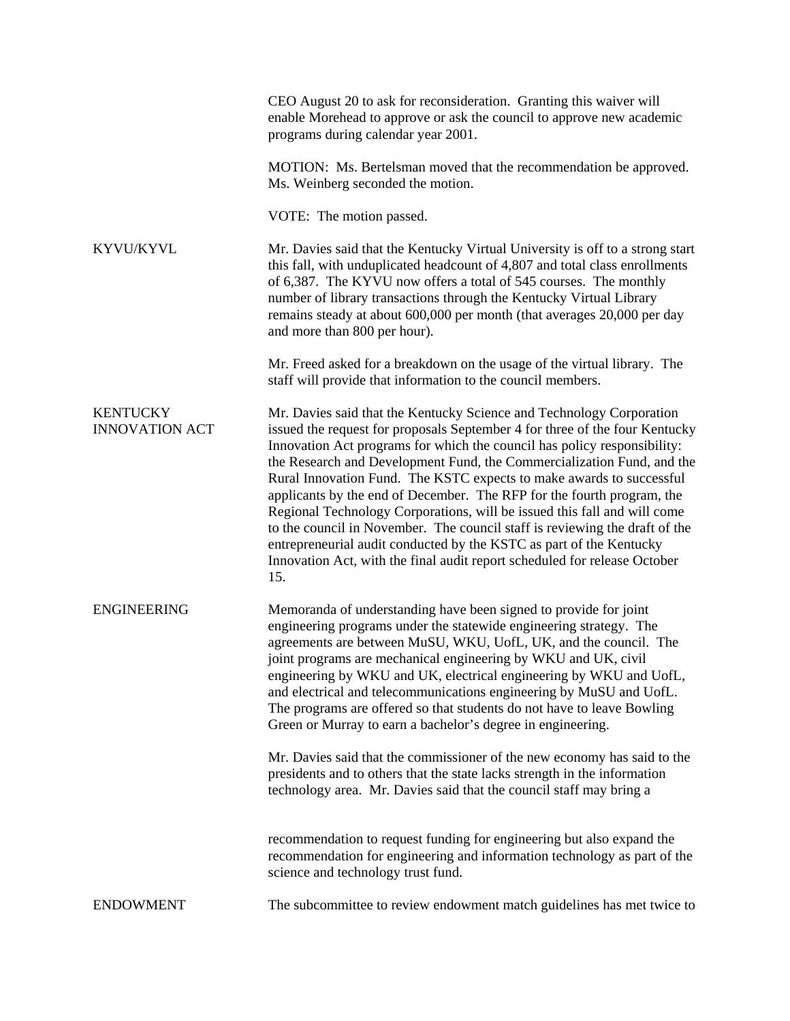|                                          | CEO August 20 to ask for reconsideration. Granting this waiver will<br>enable Morehead to approve or ask the council to approve new academic<br>programs during calendar year 2001.                                                                                                                                                                                                                                                                                                                                                                                                                                                                                                                                                                                               |
|------------------------------------------|-----------------------------------------------------------------------------------------------------------------------------------------------------------------------------------------------------------------------------------------------------------------------------------------------------------------------------------------------------------------------------------------------------------------------------------------------------------------------------------------------------------------------------------------------------------------------------------------------------------------------------------------------------------------------------------------------------------------------------------------------------------------------------------|
|                                          | MOTION: Ms. Bertelsman moved that the recommendation be approved.<br>Ms. Weinberg seconded the motion.                                                                                                                                                                                                                                                                                                                                                                                                                                                                                                                                                                                                                                                                            |
|                                          | VOTE: The motion passed.                                                                                                                                                                                                                                                                                                                                                                                                                                                                                                                                                                                                                                                                                                                                                          |
| KYVU/KYVL                                | Mr. Davies said that the Kentucky Virtual University is off to a strong start<br>this fall, with unduplicated headcount of 4,807 and total class enrollments<br>of 6,387. The KYVU now offers a total of 545 courses. The monthly<br>number of library transactions through the Kentucky Virtual Library<br>remains steady at about 600,000 per month (that averages 20,000 per day<br>and more than 800 per hour).                                                                                                                                                                                                                                                                                                                                                               |
|                                          | Mr. Freed asked for a breakdown on the usage of the virtual library. The<br>staff will provide that information to the council members.                                                                                                                                                                                                                                                                                                                                                                                                                                                                                                                                                                                                                                           |
| <b>KENTUCKY</b><br><b>INNOVATION ACT</b> | Mr. Davies said that the Kentucky Science and Technology Corporation<br>issued the request for proposals September 4 for three of the four Kentucky<br>Innovation Act programs for which the council has policy responsibility:<br>the Research and Development Fund, the Commercialization Fund, and the<br>Rural Innovation Fund. The KSTC expects to make awards to successful<br>applicants by the end of December. The RFP for the fourth program, the<br>Regional Technology Corporations, will be issued this fall and will come<br>to the council in November. The council staff is reviewing the draft of the<br>entrepreneurial audit conducted by the KSTC as part of the Kentucky<br>Innovation Act, with the final audit report scheduled for release October<br>15. |
| <b>ENGINEERING</b>                       | Memoranda of understanding have been signed to provide for joint<br>engineering programs under the statewide engineering strategy. The<br>agreements are between MuSU, WKU, UofL, UK, and the council. The<br>joint programs are mechanical engineering by WKU and UK, civil<br>engineering by WKU and UK, electrical engineering by WKU and UofL,<br>and electrical and telecommunications engineering by MuSU and UofL.<br>The programs are offered so that students do not have to leave Bowling<br>Green or Murray to earn a bachelor's degree in engineering.                                                                                                                                                                                                                |
|                                          | Mr. Davies said that the commissioner of the new economy has said to the<br>presidents and to others that the state lacks strength in the information<br>technology area. Mr. Davies said that the council staff may bring a                                                                                                                                                                                                                                                                                                                                                                                                                                                                                                                                                      |
|                                          | recommendation to request funding for engineering but also expand the<br>recommendation for engineering and information technology as part of the<br>science and technology trust fund.                                                                                                                                                                                                                                                                                                                                                                                                                                                                                                                                                                                           |
| <b>ENDOWMENT</b>                         | The subcommittee to review endowment match guidelines has met twice to                                                                                                                                                                                                                                                                                                                                                                                                                                                                                                                                                                                                                                                                                                            |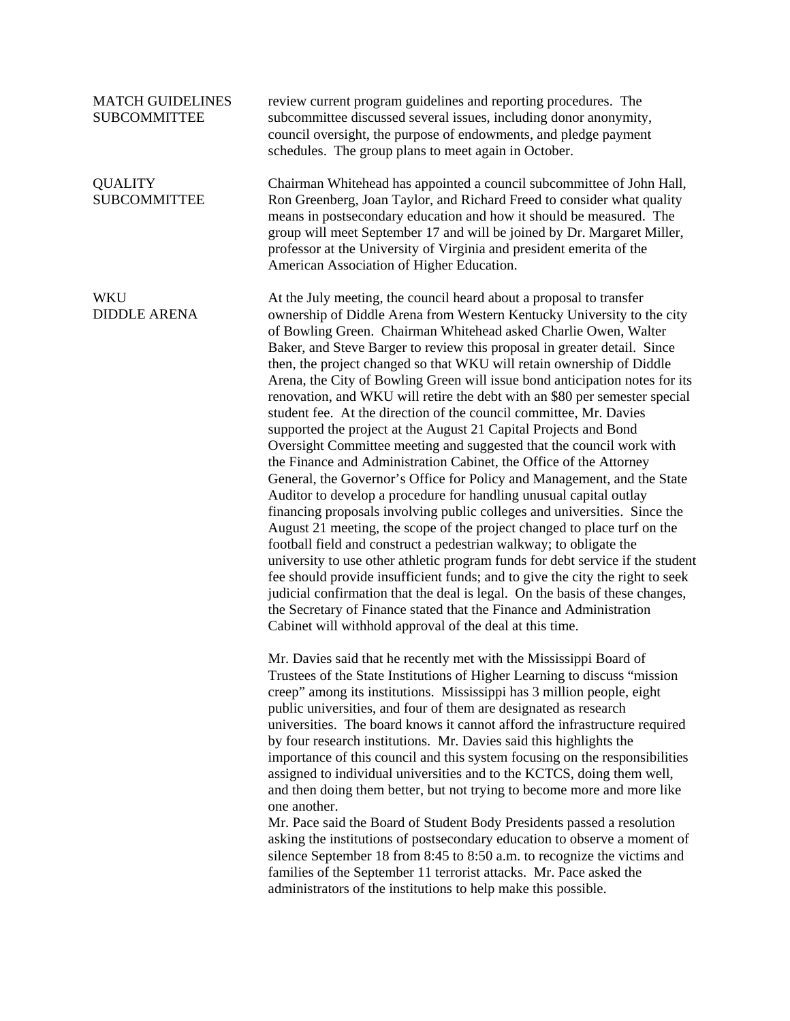| <b>MATCH GUIDELINES</b><br><b>SUBCOMMITTEE</b> | review current program guidelines and reporting procedures. The<br>subcommittee discussed several issues, including donor anonymity,<br>council oversight, the purpose of endowments, and pledge payment<br>schedules. The group plans to meet again in October.                                                                                                                                                                                                                                                                                                                                                                                                                                                                                                                                                                                                                                                                                                                                                                                                                                                                                                                                                                                                                                                                                                                                                                                                                                                                                                                                 |
|------------------------------------------------|--------------------------------------------------------------------------------------------------------------------------------------------------------------------------------------------------------------------------------------------------------------------------------------------------------------------------------------------------------------------------------------------------------------------------------------------------------------------------------------------------------------------------------------------------------------------------------------------------------------------------------------------------------------------------------------------------------------------------------------------------------------------------------------------------------------------------------------------------------------------------------------------------------------------------------------------------------------------------------------------------------------------------------------------------------------------------------------------------------------------------------------------------------------------------------------------------------------------------------------------------------------------------------------------------------------------------------------------------------------------------------------------------------------------------------------------------------------------------------------------------------------------------------------------------------------------------------------------------|
| <b>QUALITY</b><br><b>SUBCOMMITTEE</b>          | Chairman Whitehead has appointed a council subcommittee of John Hall,<br>Ron Greenberg, Joan Taylor, and Richard Freed to consider what quality<br>means in postsecondary education and how it should be measured. The<br>group will meet September 17 and will be joined by Dr. Margaret Miller,<br>professor at the University of Virginia and president emerita of the<br>American Association of Higher Education.                                                                                                                                                                                                                                                                                                                                                                                                                                                                                                                                                                                                                                                                                                                                                                                                                                                                                                                                                                                                                                                                                                                                                                           |
| <b>WKU</b><br><b>DIDDLE ARENA</b>              | At the July meeting, the council heard about a proposal to transfer<br>ownership of Diddle Arena from Western Kentucky University to the city<br>of Bowling Green. Chairman Whitehead asked Charlie Owen, Walter<br>Baker, and Steve Barger to review this proposal in greater detail. Since<br>then, the project changed so that WKU will retain ownership of Diddle<br>Arena, the City of Bowling Green will issue bond anticipation notes for its<br>renovation, and WKU will retire the debt with an \$80 per semester special<br>student fee. At the direction of the council committee, Mr. Davies<br>supported the project at the August 21 Capital Projects and Bond<br>Oversight Committee meeting and suggested that the council work with<br>the Finance and Administration Cabinet, the Office of the Attorney<br>General, the Governor's Office for Policy and Management, and the State<br>Auditor to develop a procedure for handling unusual capital outlay<br>financing proposals involving public colleges and universities. Since the<br>August 21 meeting, the scope of the project changed to place turf on the<br>football field and construct a pedestrian walkway; to obligate the<br>university to use other athletic program funds for debt service if the student<br>fee should provide insufficient funds; and to give the city the right to seek<br>judicial confirmation that the deal is legal. On the basis of these changes,<br>the Secretary of Finance stated that the Finance and Administration<br>Cabinet will withhold approval of the deal at this time. |
|                                                | Mr. Davies said that he recently met with the Mississippi Board of<br>Trustees of the State Institutions of Higher Learning to discuss "mission<br>creep" among its institutions. Mississippi has 3 million people, eight<br>public universities, and four of them are designated as research<br>universities. The board knows it cannot afford the infrastructure required<br>by four research institutions. Mr. Davies said this highlights the<br>importance of this council and this system focusing on the responsibilities<br>assigned to individual universities and to the KCTCS, doing them well,<br>and then doing them better, but not trying to become more and more like<br>one another.<br>Mr. Pace said the Board of Student Body Presidents passed a resolution<br>asking the institutions of postsecondary education to observe a moment of<br>silence September 18 from 8:45 to 8:50 a.m. to recognize the victims and<br>families of the September 11 terrorist attacks. Mr. Pace asked the<br>administrators of the institutions to help make this possible.                                                                                                                                                                                                                                                                                                                                                                                                                                                                                                                 |